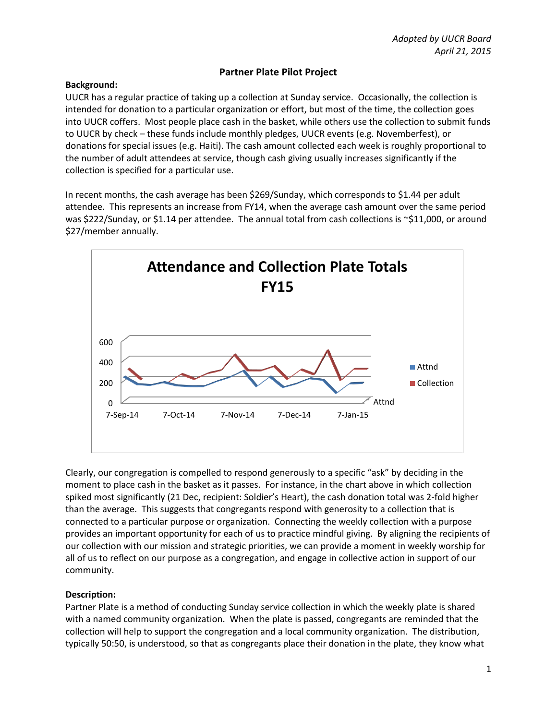# **Partner Plate Pilot Project**

### **Background:**

UUCR has a regular practice of taking up a collection at Sunday service. Occasionally, the collection is intended for donation to a particular organization or effort, but most of the time, the collection goes into UUCR coffers. Most people place cash in the basket, while others use the collection to submit funds to UUCR by check – these funds include monthly pledges, UUCR events (e.g. Novemberfest), or donations for special issues (e.g. Haiti). The cash amount collected each week is roughly proportional to the number of adult attendees at service, though cash giving usually increases significantly if the collection is specified for a particular use.

In recent months, the cash average has been \$269/Sunday, which corresponds to \$1.44 per adult attendee. This represents an increase from FY14, when the average cash amount over the same period was \$222/Sunday, or \$1.14 per attendee. The annual total from cash collections is ~\$11,000, or around \$27/member annually.



Clearly, our congregation is compelled to respond generously to a specific "ask" by deciding in the moment to place cash in the basket as it passes. For instance, in the chart above in which collection spiked most significantly (21 Dec, recipient: Soldier's Heart), the cash donation total was 2-fold higher than the average. This suggests that congregants respond with generosity to a collection that is connected to a particular purpose or organization. Connecting the weekly collection with a purpose provides an important opportunity for each of us to practice mindful giving. By aligning the recipients of our collection with our mission and strategic priorities, we can provide a moment in weekly worship for all of us to reflect on our purpose as a congregation, and engage in collective action in support of our community.

## **Description:**

Partner Plate is a method of conducting Sunday service collection in which the weekly plate is shared with a named community organization. When the plate is passed, congregants are reminded that the collection will help to support the congregation and a local community organization. The distribution, typically 50:50, is understood, so that as congregants place their donation in the plate, they know what